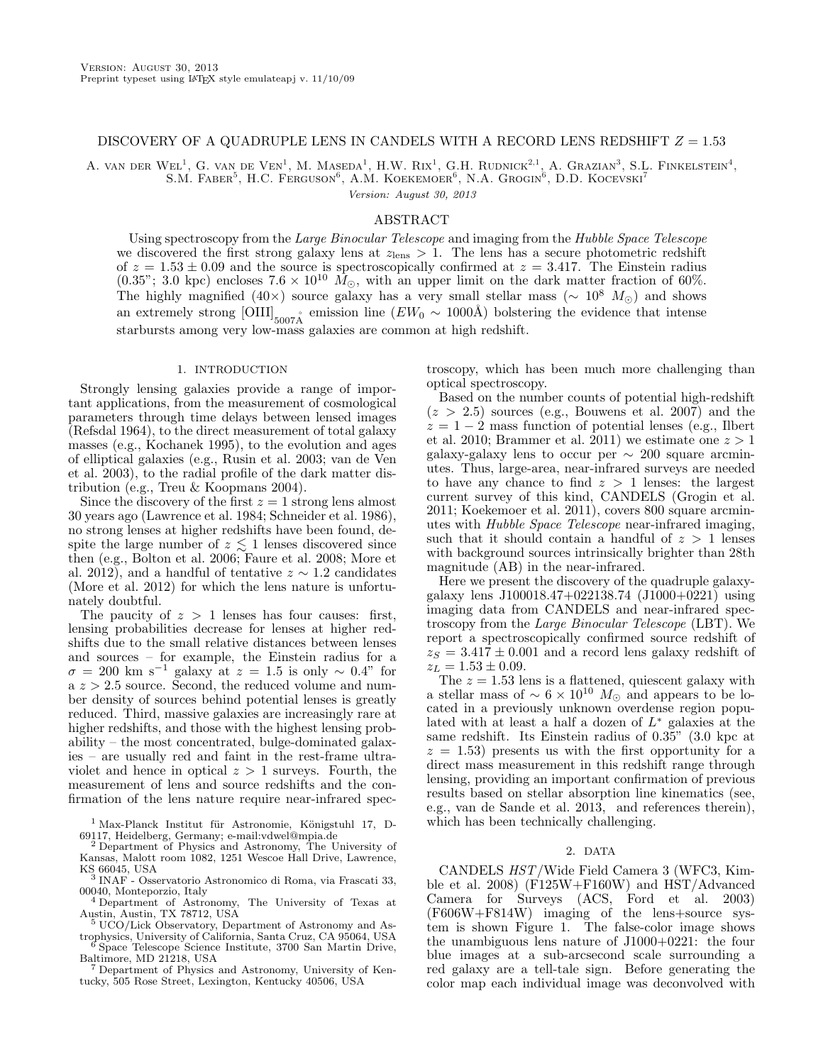# DISCOVERY OF A QUADRUPLE LENS IN CANDELS WITH A RECORD LENS REDSHIFT  $Z = 1.53$

A. VAN DER WEL<sup>1</sup>, G. VAN DE VEN<sup>1</sup>, M. MASEDA<sup>1</sup>, H.W. RIX<sup>1</sup>, G.H. RUDNICK<sup>2,1</sup>, A. GRAZIAN<sup>3</sup>, S.L. FINKELSTEIN<sup>4</sup>.

S.M. FABER<sup>5</sup>, H.C. FERGUSON<sup>6</sup>, A.M. KOEKEMOER<sup>6</sup>, N.A. GROGIN<sup>6</sup>, D.D. KOCEVSKI<sup>7</sup>

Version: August 30, 2013

# ABSTRACT

Using spectroscopy from the Large Binocular Telescope and imaging from the Hubble Space Telescope we discovered the first strong galaxy lens at  $z_{\text{lens}} > 1$ . The lens has a secure photometric redshift of  $z = 1.53 \pm 0.09$  and the source is spectroscopically confirmed at  $z = 3.417$ . The Einstein radius  $(0.35$ "; 3.0 kpc) encloses  $7.6 \times 10^{10}$   $\tilde{M}_{\odot}$ , with an upper limit on the dark matter fraction of 60%. The highly magnified (40×) source galaxy has a very small stellar mass ( $\sim 10^8$  M<sub>o</sub>) and shows an extremely strong  $\text{[OIII]}_{5007\text{Å}}$  emission line  $(EW_0 \sim 1000\text{Å})$  bolstering the evidence that intense starbursts among very low-mass galaxies are common at high redshift.

## 1. INTRODUCTION

Strongly lensing galaxies provide a range of important applications, from the measurement of cosmological parameters through time delays between lensed images (Refsdal 1964), to the direct measurement of total galaxy masses (e.g., Kochanek 1995), to the evolution and ages of elliptical galaxies (e.g., Rusin et al. 2003; van de Ven et al. 2003), to the radial profile of the dark matter distribution (e.g., Treu & Koopmans 2004).

Since the discovery of the first  $z = 1$  strong lens almost 30 years ago (Lawrence et al. 1984; Schneider et al. 1986), no strong lenses at higher redshifts have been found, despite the large number of  $z \lesssim 1$  lenses discovered since then (e.g., Bolton et al. 2006; Faure et al. 2008; More et al. 2012), and a handful of tentative  $z \sim 1.2$  candidates (More et al. 2012) for which the lens nature is unfortunately doubtful.

The paucity of  $z > 1$  lenses has four causes: first, lensing probabilities decrease for lenses at higher redshifts due to the small relative distances between lenses and sources – for example, the Einstein radius for a  $\sigma = 200$  km s<sup>-1</sup> galaxy at  $z = 1.5$  is only ~ 0.4" for a  $z > 2.5$  source. Second, the reduced volume and number density of sources behind potential lenses is greatly reduced. Third, massive galaxies are increasingly rare at higher redshifts, and those with the highest lensing probability – the most concentrated, bulge-dominated galaxies – are usually red and faint in the rest-frame ultraviolet and hence in optical  $z > 1$  surveys. Fourth, the measurement of lens and source redshifts and the confirmation of the lens nature require near-infrared spectroscopy, which has been much more challenging than optical spectroscopy.

Based on the number counts of potential high-redshift  $(z > 2.5)$  sources (e.g., Bouwens et al. 2007) and the  $z = 1 - 2$  mass function of potential lenses (e.g., Ilbert et al. 2010; Brammer et al. 2011) we estimate one  $z > 1$ galaxy-galaxy lens to occur per  $\sim 200$  square arcminutes. Thus, large-area, near-infrared surveys are needed to have any chance to find  $z > 1$  lenses: the largest current survey of this kind, CANDELS (Grogin et al. 2011; Koekemoer et al. 2011), covers 800 square arcminutes with Hubble Space Telescope near-infrared imaging, such that it should contain a handful of  $z > 1$  lenses with background sources intrinsically brighter than 28th magnitude (AB) in the near-infrared.

Here we present the discovery of the quadruple galaxygalaxy lens J100018.47+022138.74 (J1000+0221) using imaging data from CANDELS and near-infrared spectroscopy from the Large Binocular Telescope (LBT). We report a spectroscopically confirmed source redshift of  $z_S = 3.417 \pm 0.001$  and a record lens galaxy redshift of  $z_L = 1.53 \pm 0.09.$ 

The  $z = 1.53$  lens is a flattened, quiescent galaxy with a stellar mass of  $\sim 6 \times 10^{10}$   $M_{\odot}$  and appears to be located in a previously unknown overdense region populated with at least a half a dozen of  $L^*$  galaxies at the same redshift. Its Einstein radius of 0.35" (3.0 kpc at  $z = 1.53$ ) presents us with the first opportunity for a direct mass measurement in this redshift range through lensing, providing an important confirmation of previous results based on stellar absorption line kinematics (see, e.g., van de Sande et al. 2013, and references therein), which has been technically challenging.

### 2. DATA

CANDELS HST/Wide Field Camera 3 (WFC3, Kimble et al. 2008) ( $F125W + F160W$ ) and  $HST/Advanced$ Camera for Surveys (ACS, Ford et al. 2003) (F606W+F814W) imaging of the lens+source system is shown Figure 1. The false-color image shows the unambiguous lens nature of J1000+0221: the four blue images at a sub-arcsecond scale surrounding a red galaxy are a tell-tale sign. Before generating the color map each individual image was deconvolved with

<sup>&</sup>lt;sup>1</sup> Max-Planck Institut für Astronomie, Königstuhl 17, D-69117, Heidelberg, Germany; e-mail:vdwel@mpia.de <sup>2</sup> Department of Physics and Astronomy, The University of

Kansas, Malott room 1082, 1251 Wescoe Hall Drive, Lawrence, KS 66045, USA

<sup>3</sup> INAF - Osservatorio Astronomico di Roma, via Frascati 33, 00040, Monteporzio, Italy

<sup>4</sup> Department of Astronomy, The University of Texas at Austin, Austin, TX 78712, USA<br>5 UCO/Lick Obec

UCO/Lick Observatory, Department of Astronomy and Astrophysics, University of California, Santa Cruz, CA 95064, USA

<sup>6</sup> Space Telescope Science Institute, 3700 San Martin Drive, Baltimore, MD 21218, USA <sup>7</sup> Department of Physics and Astronomy, University of Ken-

tucky, 505 Rose Street, Lexington, Kentucky 40506, USA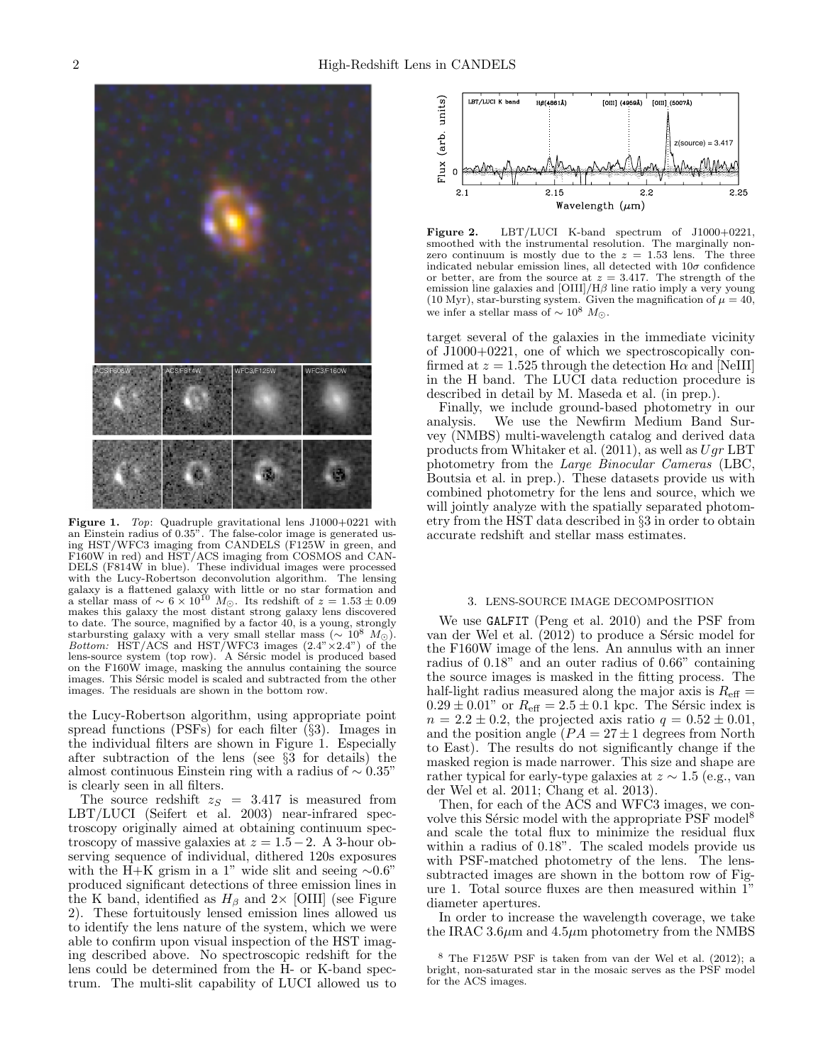

Figure 1. Top: Quadruple gravitational lens J1000+0221 with an Einstein radius of 0.35". The false-color image is generated using HST/WFC3 imaging from CANDELS (F125W in green, and F160W in red) and HST/ACS imaging from COSMOS and CAN-DELS (F814W in blue). These individual images were processed with the Lucy-Robertson deconvolution algorithm. The lensing galaxy is a flattened galaxy with little or no star formation and<br>a stellar mass of  $\sim 6 \times 10^{10}$   $M_{\odot}$ . Its redshift of  $z = 1.53 \pm 0.09$ makes this galaxy the most distant strong galaxy lens discovered to date. The source, magnified by a factor 40, is a young, strongly starbursting galaxy with a very small stellar mass ( $\sim 10^8$   $M_{\odot}$ ).<br>Bottom: HST/ACS and HST/WFC3 images (2.4"×2.4") of the lens-source system (top row). A Sérsic model is produced based on the F160W image, masking the annulus containing the source images. This Sérsic model is scaled and subtracted from the other images. The residuals are shown in the bottom row.

the Lucy-Robertson algorithm, using appropriate point spread functions (PSFs) for each filter (§3). Images in the individual filters are shown in Figure 1. Especially after subtraction of the lens (see §3 for details) the almost continuous Einstein ring with a radius of  $\sim 0.35"$ is clearly seen in all filters.

The source redshift  $z_S = 3.417$  is measured from  $LET/LUCI$  (Seifert et al. 2003) near-infrared spectroscopy originally aimed at obtaining continuum spectroscopy of massive galaxies at  $z = 1.5-2$ . A 3-hour observing sequence of individual, dithered 120s exposures with the H+K grism in a 1" wide slit and seeing  $\sim 0.6$ " produced significant detections of three emission lines in the K band, identified as  $H_\beta$  and 2× [OIII] (see Figure 2). These fortuitously lensed emission lines allowed us to identify the lens nature of the system, which we were able to confirm upon visual inspection of the HST imaging described above. No spectroscopic redshift for the lens could be determined from the H- or K-band spectrum. The multi-slit capability of LUCI allowed us to



Figure 2. LBT/LUCI K-band spectrum of J1000+0221, smoothed with the instrumental resolution. The marginally nonzero continuum is mostly due to the  $z = 1.53$  lens. The three indicated nebular emission lines, all detected with  $10\sigma$  confidence or better, are from the source at  $z = 3.417$ . The strength of the emission line galaxies and  $\left[\text{OIII}\right]/\text{H}\beta$  line ratio imply a very young (10 Myr), star-bursting system. Given the magnification of  $\mu = 40$ , we infer a stellar mass of  $\sim 10^8$   $M_{\odot}$ .

target several of the galaxies in the immediate vicinity of J1000+0221, one of which we spectroscopically confirmed at  $z = 1.525$  through the detection H $\alpha$  and [NeIII] in the H band. The LUCI data reduction procedure is described in detail by M. Maseda et al. (in prep.).

Finally, we include ground-based photometry in our analysis. We use the Newfirm Medium Band Survey (NMBS) multi-wavelength catalog and derived data products from Whitaker et al.  $(2011)$ , as well as  $Uqr$  LBT photometry from the Large Binocular Cameras (LBC, Boutsia et al. in prep.). These datasets provide us with combined photometry for the lens and source, which we will jointly analyze with the spatially separated photometry from the HST data described in §3 in order to obtain accurate redshift and stellar mass estimates.

#### 3. LENS-SOURCE IMAGE DECOMPOSITION

We use GALFIT (Peng et al. 2010) and the PSF from van der Wel et al.  $(2012)$  to produce a Sérsic model for the F160W image of the lens. An annulus with an inner radius of 0.18" and an outer radius of 0.66" containing the source images is masked in the fitting process. The half-light radius measured along the major axis is  $R_{\text{eff}} =$  $0.29 \pm 0.01$ " or  $R_{\text{eff}} = 2.5 \pm 0.1$  kpc. The Sérsic index is  $n = 2.2 \pm 0.2$ , the projected axis ratio  $q = 0.52 \pm 0.01$ , and the position angle  $(PA = 27 \pm 1)$  degrees from North to East). The results do not significantly change if the masked region is made narrower. This size and shape are rather typical for early-type galaxies at  $z \sim 1.5$  (e.g., van der Wel et al. 2011; Chang et al. 2013).

Then, for each of the ACS and WFC3 images, we convolve this Sérsic model with the appropriate PSF model<sup>8</sup> and scale the total flux to minimize the residual flux within a radius of 0.18". The scaled models provide us with PSF-matched photometry of the lens. The lenssubtracted images are shown in the bottom row of Figure 1. Total source fluxes are then measured within 1" diameter apertures.

In order to increase the wavelength coverage, we take the IRAC 3.6 $\mu$ m and 4.5 $\mu$ m photometry from the NMBS

<sup>8</sup> The F125W PSF is taken from van der Wel et al. (2012); a bright, non-saturated star in the mosaic serves as the PSF model for the ACS images.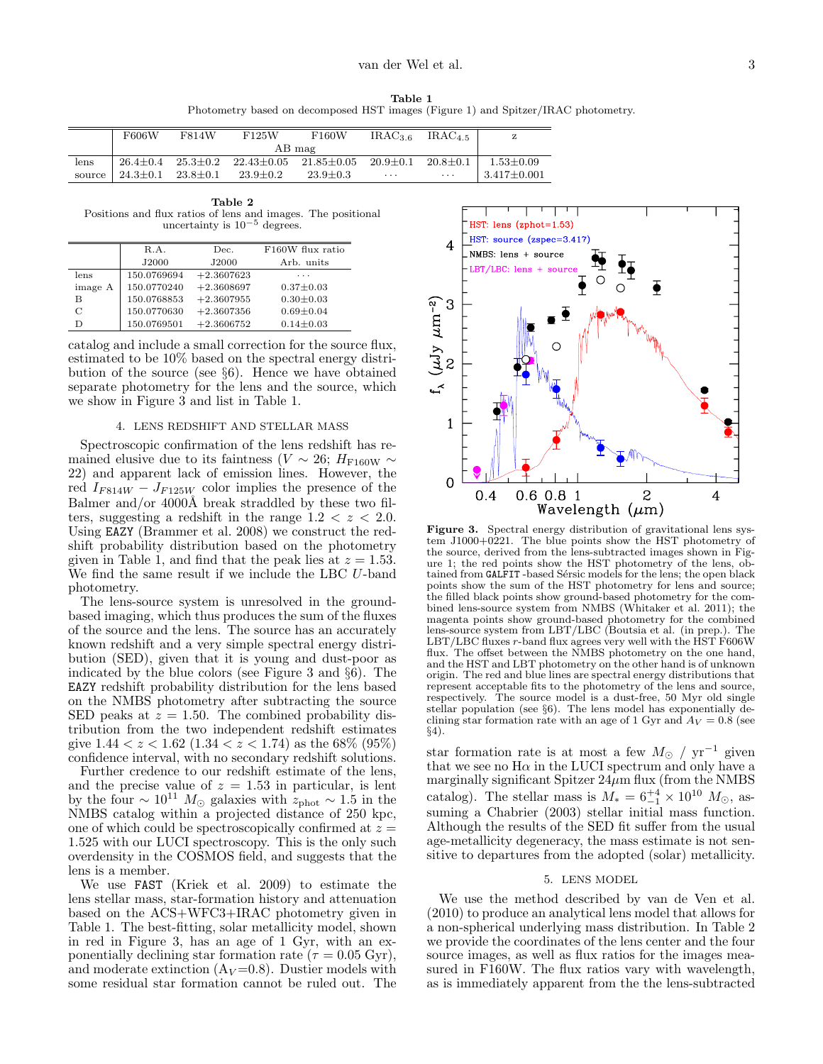Table 1 Photometry based on decomposed HST images (Figure 1) and Spitzer/IRAC photometry.

|        | F606W          | F814W          | F125W                             | F160W          | IRAC <sub>36</sub> | IRAC <sub>4.5</sub> |                 |
|--------|----------------|----------------|-----------------------------------|----------------|--------------------|---------------------|-----------------|
|        | AB mag         |                |                                   |                |                    |                     |                 |
| lens   | $26.4 + 0.4$   | $25.3 \pm 0.2$ | $22.43 \pm 0.05$ $21.85 \pm 0.05$ |                | $20.9 \pm 0.1$     | $20.8 \pm 0.1$      | $1.53 \pm 0.09$ |
| source | $24.3 \pm 0.1$ | $23.8 \pm 0.1$ | $23.9 \pm 0.2$                    | $23.9 \pm 0.3$ | $\cdots$           | $\cdots$            | $3.417 + 0.001$ |

Table 2 Positions and flux ratios of lens and images. The positional uncertainty is  $10^{-5}$  degrees.

|         | R.A.        | Dec.         | F160W flux ratio |
|---------|-------------|--------------|------------------|
|         | J2000       | J2000        | Arb. units       |
| lens    | 150.0769694 | $+2.3607623$ | .                |
| image A | 150.0770240 | $+2.3608697$ | $0.37 \pm 0.03$  |
| в       | 150.0768853 | $+2.3607955$ | $0.30 + 0.03$    |
| С       | 150.0770630 | $+2.3607356$ | $0.69 \pm 0.04$  |
| D       | 150.0769501 | $+2.3606752$ | $0.14 \pm 0.03$  |

catalog and include a small correction for the source flux, estimated to be 10% based on the spectral energy distribution of the source (see §6). Hence we have obtained separate photometry for the lens and the source, which we show in Figure 3 and list in Table 1.

### 4. LENS REDSHIFT AND STELLAR MASS

Spectroscopic confirmation of the lens redshift has remained elusive due to its faintness (V  $\sim$  26; H<sub>F160W</sub>  $\sim$ 22) and apparent lack of emission lines. However, the red  $I_{F814W} - J_{F125W}$  color implies the presence of the Balmer and/or  $4000\text{\AA}$  break straddled by these two filters, suggesting a redshift in the range  $1.2 < z < 2.0$ . Using EAZY (Brammer et al. 2008) we construct the redshift probability distribution based on the photometry given in Table 1, and find that the peak lies at  $z = 1.53$ . We find the same result if we include the LBC U-band photometry.

The lens-source system is unresolved in the groundbased imaging, which thus produces the sum of the fluxes of the source and the lens. The source has an accurately known redshift and a very simple spectral energy distribution (SED), given that it is young and dust-poor as indicated by the blue colors (see Figure 3 and §6). The EAZY redshift probability distribution for the lens based on the NMBS photometry after subtracting the source SED peaks at  $z = 1.50$ . The combined probability distribution from the two independent redshift estimates give  $1.44 < z < 1.62$  ( $1.34 < z < 1.74$ ) as the 68% (95%) confidence interval, with no secondary redshift solutions.

Further credence to our redshift estimate of the lens, and the precise value of  $z = 1.53$  in particular, is lent by the four  $\sim 10^{11}$  M<sub>☉</sub> galaxies with  $z_{\rm phot} \sim 1.5$  in the NMBS catalog within a projected distance of 250 kpc, one of which could be spectroscopically confirmed at  $z =$ 1.525 with our LUCI spectroscopy. This is the only such overdensity in the COSMOS field, and suggests that the lens is a member.

We use FAST (Kriek et al. 2009) to estimate the lens stellar mass, star-formation history and attenuation based on the ACS+WFC3+IRAC photometry given in Table 1. The best-fitting, solar metallicity model, shown in red in Figure 3, has an age of 1 Gyr, with an exponentially declining star formation rate ( $\tau = 0.05$  Gyr), and moderate extinction  $(A_V=0.8)$ . Dustier models with some residual star formation cannot be ruled out. The



Figure 3. Spectral energy distribution of gravitational lens system J1000+0221. The blue points show the HST photometry of the source, derived from the lens-subtracted images shown in Figure 1; the red points show the HST photometry of the lens, obtained from GALFIT-based Sérsic models for the lens; the open black points show the sum of the HST photometry for lens and source; the filled black points show ground-based photometry for the combined lens-source system from NMBS (Whitaker et al. 2011); the magenta points show ground-based photometry for the combined lens-source system from LBT/LBC (Boutsia et al. (in prep.). The LBT/LBC fluxes  $r$ -band flux agrees very well with the  $\hat{HST}$  F606W flux. The offset between the NMBS photometry on the one hand, and the HST and LBT photometry on the other hand is of unknown origin. The red and blue lines are spectral energy distributions that represent acceptable fits to the photometry of the lens and source, respectively. The source model is a dust-free, 50 Myr old single stellar population (see §6). The lens model has exponentially declining star formation rate with an age of 1 Gyr and  $A_V = 0.8$  (see §4).

star formation rate is at most a few  $M_{\odot}$  / yr<sup>-1</sup> given that we see no  $H\alpha$  in the LUCI spectrum and only have a marginally significant Spitzer  $24\mu$ m flux (from the NMBS catalog). The stellar mass is  $M_* = 6^{+4}_{-1} \times 10^{10}$   $M_{\odot}$ , assuming a Chabrier (2003) stellar initial mass function. Although the results of the SED fit suffer from the usual age-metallicity degeneracy, the mass estimate is not sensitive to departures from the adopted (solar) metallicity.

# 5. LENS MODEL

We use the method described by van de Ven et al. (2010) to produce an analytical lens model that allows for a non-spherical underlying mass distribution. In Table 2 we provide the coordinates of the lens center and the four source images, as well as flux ratios for the images measured in F160W. The flux ratios vary with wavelength, as is immediately apparent from the the lens-subtracted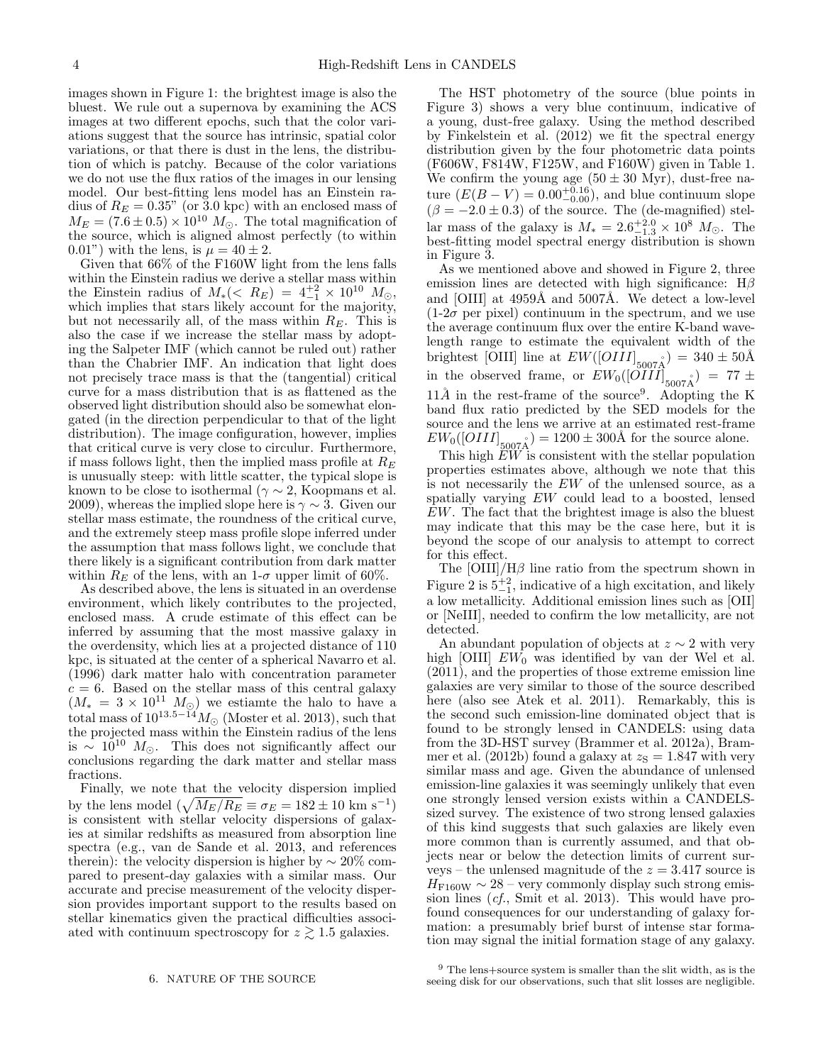images shown in Figure 1: the brightest image is also the bluest. We rule out a supernova by examining the ACS images at two different epochs, such that the color variations suggest that the source has intrinsic, spatial color variations, or that there is dust in the lens, the distribution of which is patchy. Because of the color variations we do not use the flux ratios of the images in our lensing model. Our best-fitting lens model has an Einstein radius of  $R_E = 0.35$ " (or 3.0 kpc) with an enclosed mass of  $M_E = (7.6 \pm 0.5) \times 10^{10} M_{\odot}$ . The total magnification of the source, which is aligned almost perfectly (to within 0.01") with the lens, is  $\mu = 40 \pm 2$ .

Given that 66% of the F160W light from the lens falls within the Einstein radius we derive a stellar mass within the Einstein radius of  $M_*(< R_E) = 4^{+2}_{-1} \times 10^{10} M_{\odot}$ , which implies that stars likely account for the majority, but not necessarily all, of the mass within  $R_E$ . This is also the case if we increase the stellar mass by adopting the Salpeter IMF (which cannot be ruled out) rather than the Chabrier IMF. An indication that light does not precisely trace mass is that the (tangential) critical curve for a mass distribution that is as flattened as the observed light distribution should also be somewhat elongated (in the direction perpendicular to that of the light distribution). The image configuration, however, implies that critical curve is very close to circulur. Furthermore, if mass follows light, then the implied mass profile at  $R_E$ is unusually steep: with little scatter, the typical slope is known to be close to isothermal ( $\gamma \sim 2$ , Koopmans et al. 2009), whereas the implied slope here is  $\gamma \sim 3$ . Given our stellar mass estimate, the roundness of the critical curve, and the extremely steep mass profile slope inferred under the assumption that mass follows light, we conclude that there likely is a significant contribution from dark matter within  $R_E$  of the lens, with an 1- $\sigma$  upper limit of 60%.

As described above, the lens is situated in an overdense environment, which likely contributes to the projected, enclosed mass. A crude estimate of this effect can be inferred by assuming that the most massive galaxy in the overdensity, which lies at a projected distance of 110 kpc, is situated at the center of a spherical Navarro et al. (1996) dark matter halo with concentration parameter  $c = 6$ . Based on the stellar mass of this central galaxy  $(M_* = 3 \times 10^{11} M_{\odot})$  we estiante the halo to have a total mass of  $10^{13.5-14}M_{\odot}$  (Moster et al. 2013), such that the projected mass within the Einstein radius of the lens is  $\sim 10^{10}$  M<sub>☉</sub>. This does not significantly affect our conclusions regarding the dark matter and stellar mass fractions.

Finally, we note that the velocity dispersion implied by the lens model  $(\sqrt{M_E/R_E} \equiv \sigma_E = 182 \pm 10 \text{ km s}^{-1})$ is consistent with stellar velocity dispersions of galaxies at similar redshifts as measured from absorption line spectra (e.g., van de Sande et al. 2013, and references therein): the velocity dispersion is higher by  $\sim 20\%$  compared to present-day galaxies with a similar mass. Our accurate and precise measurement of the velocity dispersion provides important support to the results based on stellar kinematics given the practical difficulties associated with continuum spectroscopy for  $z \gtrsim 1.5$  galaxies.

The HST photometry of the source (blue points in Figure 3) shows a very blue continuum, indicative of a young, dust-free galaxy. Using the method described by Finkelstein et al. (2012) we fit the spectral energy distribution given by the four photometric data points (F606W, F814W, F125W, and F160W) given in Table 1. We confirm the young age  $(50 \pm 30 \text{ Myr})$ , dust-free nature  $(E(B - V) = 0.00^{+0.16}_{-0.00})$ , and blue continuum slope  $(\beta = -2.0 \pm 0.3)$  of the source. The (de-magnified) stellar mass of the galaxy is  $M_* = 2.6^{+2.0}_{-1.3} \times 10^8$   $M_{\odot}$ . The best-fitting model spectral energy distribution is shown in Figure 3.

As we mentioned above and showed in Figure 2, three emission lines are detected with high significance:  $H\beta$ and [OIII] at  $4959\text{\AA}$  and  $5007\text{\AA}$ . We detect a low-level  $(1-2\sigma$  per pixel) continuum in the spectrum, and we use the average continuum flux over the entire K-band wavelength range to estimate the equivalent width of the brightest [OIII] line at  $EW([OIII]_{5007\text{\AA}}) = 340 \pm 50\text{\AA}$ in the observed frame, or  $EW_0([OIII]_{5007\text{\AA}}) = 77 \pm$  $11\AA$  in the rest-frame of the source<sup>9</sup>. Adopting the K band flux ratio predicted by the SED models for the source and the lens we arrive at an estimated rest-frame  $EW_0([OIII]_{5007\text{\AA}}) = 1200 \pm 300\text{\AA}$  for the source alone.

This high  $\widetilde{EW}$  is consistent with the stellar population properties estimates above, although we note that this is not necessarily the EW of the unlensed source, as a spatially varying EW could lead to a boosted, lensed EW. The fact that the brightest image is also the bluest may indicate that this may be the case here, but it is beyond the scope of our analysis to attempt to correct for this effect.

The  $\text{[OIII]/H}\beta$  line ratio from the spectrum shown in Figure 2 is  $5^{+2}_{-1}$ , indicative of a high excitation, and likely a low metallicity. Additional emission lines such as [OII] or [NeIII], needed to confirm the low metallicity, are not detected.

An abundant population of objects at  $z \sim 2$  with very high [OIII]  $EW_0$  was identified by van der Wel et al. (2011), and the properties of those extreme emission line galaxies are very similar to those of the source described here (also see Atek et al. 2011). Remarkably, this is the second such emission-line dominated object that is found to be strongly lensed in CANDELS: using data from the 3D-HST survey (Brammer et al. 2012a), Brammer et al. (2012b) found a galaxy at  $z<sub>S</sub> = 1.847$  with very similar mass and age. Given the abundance of unlensed emission-line galaxies it was seemingly unlikely that even one strongly lensed version exists within a CANDELSsized survey. The existence of two strong lensed galaxies of this kind suggests that such galaxies are likely even more common than is currently assumed, and that objects near or below the detection limits of current surveys – the unlensed magnitude of the  $z = 3.417$  source is  $H_{\rm F160W} \sim 28$  – very commonly display such strong emission lines (cf., Smit et al. 2013). This would have profound consequences for our understanding of galaxy formation: a presumably brief burst of intense star formation may signal the initial formation stage of any galaxy.

<sup>9</sup> The lens+source system is smaller than the slit width, as is the seeing disk for our observations, such that slit losses are negligible.